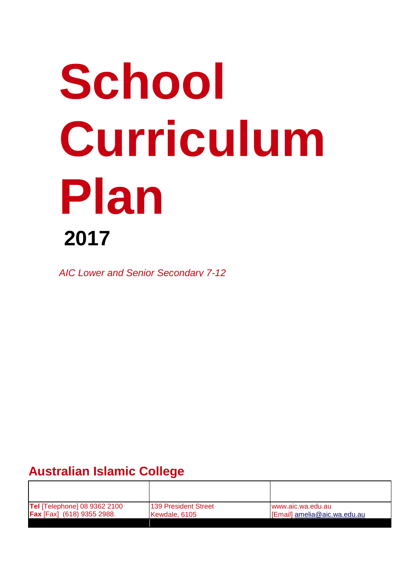# **School Curriculum Plan 2017**

*AIC Lower and Senior Secondary 7-12*

# **Australian Islamic College**

| <b>Tel [Telephone] 08 9362 2100</b> | 139 President Street | www.aic.wa.edu.au            |
|-------------------------------------|----------------------|------------------------------|
| <b>Fax</b> [Fax] (618) 9355 2988.   | Kewdale, 6105        | [Email] amelia@aic.wa.edu.au |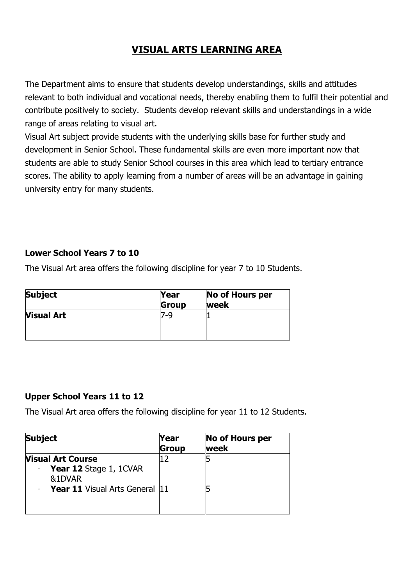# **VISUAL ARTS LEARNING AREA**

The Department aims to ensure that students develop understandings, skills and attitudes relevant to both individual and vocational needs, thereby enabling them to fulfil their potential and contribute positively to society. Students develop relevant skills and understandings in a wide range of areas relating to visual art.

Visual Art subject provide students with the underlying skills base for further study and development in Senior School. These fundamental skills are even more important now that students are able to study Senior School courses in this area which lead to tertiary entrance scores. The ability to apply learning from a number of areas will be an advantage in gaining university entry for many students.

### **Lower School Years 7 to 10**

The Visual Art area offers the following discipline for year 7 to 10 Students.

| <b>Subject</b>    | Year<br>Group | No of Hours per<br>week |
|-------------------|---------------|-------------------------|
| <b>Visual Art</b> | '-9           |                         |

### **Upper School Years 11 to 12**

The Visual Art area offers the following discipline for year 11 to 12 Students.

| <b>Subject</b>                                                                                        | Year<br><b>Group</b> | <b>No of Hours per</b><br>week |
|-------------------------------------------------------------------------------------------------------|----------------------|--------------------------------|
| <b>Visual Art Course</b><br>Year 12 Stage 1, 1CVAR<br>&1DVAR<br><b>Year 11</b> Visual Arts General 11 |                      |                                |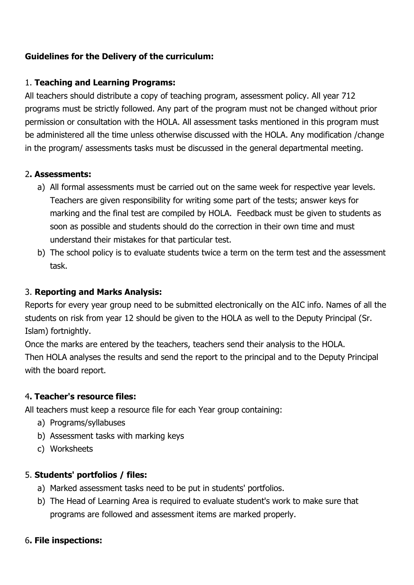# **Guidelines for the Delivery of the curriculum:**

### 1. **Teaching and Learning Programs:**

All teachers should distribute a copy of teaching program, assessment policy. All year 712 programs must be strictly followed. Any part of the program must not be changed without prior permission or consultation with the HOLA. All assessment tasks mentioned in this program must be administered all the time unless otherwise discussed with the HOLA. Any modification /change in the program/ assessments tasks must be discussed in the general departmental meeting.

### 2**. Assessments:**

- a) All formal assessments must be carried out on the same week for respective year levels. Teachers are given responsibility for writing some part of the tests; answer keys for marking and the final test are compiled by HOLA. Feedback must be given to students as soon as possible and students should do the correction in their own time and must understand their mistakes for that particular test.
- b) The school policy is to evaluate students twice a term on the term test and the assessment task.

### 3. **Reporting and Marks Analysis:**

Reports for every year group need to be submitted electronically on the AIC info. Names of all the students on risk from year 12 should be given to the HOLA as well to the Deputy Principal (Sr. Islam) fortnightly.

Once the marks are entered by the teachers, teachers send their analysis to the HOLA. Then HOLA analyses the results and send the report to the principal and to the Deputy Principal with the board report.

### 4**. Teacher's resource files:**

All teachers must keep a resource file for each Year group containing:

- a) Programs/syllabuses
- b) Assessment tasks with marking keys
- c) Worksheets

### 5. **Students' portfolios / files:**

- a) Marked assessment tasks need to be put in students' portfolios.
- b) The Head of Learning Area is required to evaluate student's work to make sure that programs are followed and assessment items are marked properly.

### 6**. File inspections:**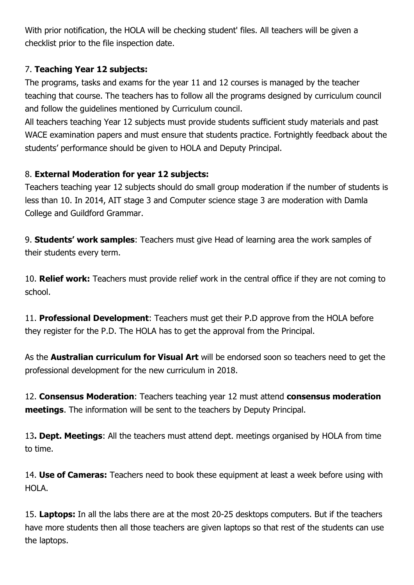With prior notification, the HOLA will be checking student' files. All teachers will be given a checklist prior to the file inspection date.

# 7. **Teaching Year 12 subjects:**

The programs, tasks and exams for the year 11 and 12 courses is managed by the teacher teaching that course. The teachers has to follow all the programs designed by curriculum council and follow the guidelines mentioned by Curriculum council.

All teachers teaching Year 12 subjects must provide students sufficient study materials and past WACE examination papers and must ensure that students practice. Fortnightly feedback about the students' performance should be given to HOLA and Deputy Principal.

# 8. **External Moderation for year 12 subjects:**

Teachers teaching year 12 subjects should do small group moderation if the number of students is less than 10. In 2014, AIT stage 3 and Computer science stage 3 are moderation with Damla College and Guildford Grammar.

9. **Students' work samples**: Teachers must give Head of learning area the work samples of their students every term.

10. **Relief work:** Teachers must provide relief work in the central office if they are not coming to school.

11. **Professional Development**: Teachers must get their P.D approve from the HOLA before they register for the P.D. The HOLA has to get the approval from the Principal.

As the **Australian curriculum for Visual Art** will be endorsed soon so teachers need to get the professional development for the new curriculum in 2018.

12. **Consensus Moderation**: Teachers teaching year 12 must attend **consensus moderation meetings**. The information will be sent to the teachers by Deputy Principal.

13**. Dept. Meetings**: All the teachers must attend dept. meetings organised by HOLA from time to time.

14. **Use of Cameras:** Teachers need to book these equipment at least a week before using with HOLA.

15. **Laptops:** In all the labs there are at the most 20-25 desktops computers. But if the teachers have more students then all those teachers are given laptops so that rest of the students can use the laptops.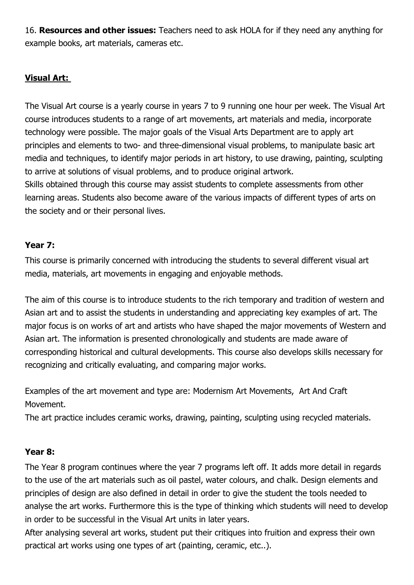16. **Resources and other issues:** Teachers need to ask HOLA for if they need any anything for example books, art materials, cameras etc.

# **Visual Art:**

The Visual Art course is a yearly course in years 7 to 9 running one hour per week. The Visual Art course introduces students to a range of art movements, art materials and media, incorporate technology were possible. The major goals of the Visual Arts Department are to apply art principles and elements to two- and three-dimensional visual problems, to manipulate basic art media and techniques, to identify major periods in art history, to use drawing, painting, sculpting to arrive at solutions of visual problems, and to produce original artwork. Skills obtained through this course may assist students to complete assessments from other learning areas. Students also become aware of the various impacts of different types of arts on the society and or their personal lives.

# **Year 7:**

This course is primarily concerned with introducing the students to several different visual art media, materials, art movements in engaging and enjoyable methods.

The aim of this course is to introduce students to the rich temporary and tradition of western and Asian art and to assist the students in understanding and appreciating key examples of art. The major focus is on works of art and artists who have shaped the major movements of Western and Asian art. The information is presented chronologically and students are made aware of corresponding historical and cultural developments. This course also develops skills necessary for recognizing and critically evaluating, and comparing major works.

Examples of the art movement and type are: Modernism Art Movements, Art And Craft Movement.

The art practice includes ceramic works, drawing, painting, sculpting using recycled materials.

### **Year 8:**

The Year 8 program continues where the year 7 programs left off. It adds more detail in regards to the use of the art materials such as oil pastel, water colours, and chalk. Design elements and principles of design are also defined in detail in order to give the student the tools needed to analyse the art works. Furthermore this is the type of thinking which students will need to develop in order to be successful in the Visual Art units in later years.

After analysing several art works, student put their critiques into fruition and express their own practical art works using one types of art (painting, ceramic, etc..).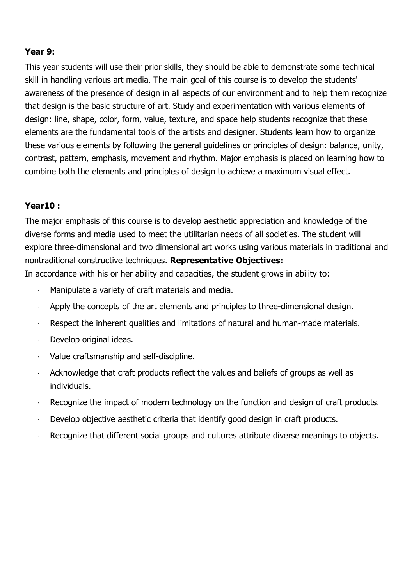### **Year 9:**

This year students will use their prior skills, they should be able to demonstrate some technical skill in handling various art media. The main goal of this course is to develop the students' awareness of the presence of design in all aspects of our environment and to help them recognize that design is the basic structure of art. Study and experimentation with various elements of design: line, shape, color, form, value, texture, and space help students recognize that these elements are the fundamental tools of the artists and designer. Students learn how to organize these various elements by following the general guidelines or principles of design: balance, unity, contrast, pattern, emphasis, movement and rhythm. Major emphasis is placed on learning how to combine both the elements and principles of design to achieve a maximum visual effect.

### **Year10 :**

The major emphasis of this course is to develop aesthetic appreciation and knowledge of the diverse forms and media used to meet the utilitarian needs of all societies. The student will explore three-dimensional and two dimensional art works using various materials in traditional and nontraditional constructive techniques. **Representative Objectives:** In accordance with his or her ability and capacities, the student grows in ability to:

- Manipulate a variety of craft materials and media.
- Apply the concepts of the art elements and principles to three-dimensional design.
- Respect the inherent qualities and limitations of natural and human-made materials.
- · Develop original ideas.
- · Value craftsmanship and self-discipline.
- Acknowledge that craft products reflect the values and beliefs of groups as well as individuals.
- · Recognize the impact of modern technology on the function and design of craft products.
- Develop objective aesthetic criteria that identify good design in craft products.
- Recognize that different social groups and cultures attribute diverse meanings to objects.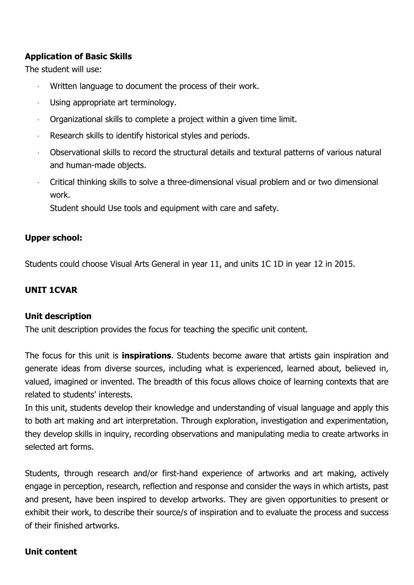### **Application of Basic Skills**

The student will use:

- Written language to document the process of their work.
- Using appropriate art terminology.
- · Organizational skills to complete a project within a given time limit.
- Research skills to identify historical styles and periods.
- · Observational skills to record the structural details and textural patterns of various natural and human-made objects.
- · Critical thinking skills to solve a three-dimensional visual problem and or two dimensional work.

Student should Use tools and equipment with care and safety.

### **Upper school:**

Students could choose Visual Arts General in year 11, and units 1C 1D in year 12 in 2015.

### **UNIT 1CVAR**

### **Unit description**

The unit description provides the focus for teaching the specific unit content.

The focus for this unit is **inspirations**. Students become aware that artists gain inspiration and generate ideas from diverse sources, including what is experienced, learned about, believed in, valued, imagined or invented. The breadth of this focus allows choice of learning contexts that are related to students' interests.

In this unit, students develop their knowledge and understanding of visual language and apply this to both art making and art interpretation. Through exploration, investigation and experimentation, they develop skills in inquiry, recording observations and manipulating media to create artworks in selected art forms.

Students, through research and/or first-hand experience of artworks and art making, actively engage in perception, research, reflection and response and consider the ways in which artists, past and present, have been inspired to develop artworks. They are given opportunities to present or exhibit their work, to describe their source/s of inspiration and to evaluate the process and success of their finished artworks.

### **Unit content**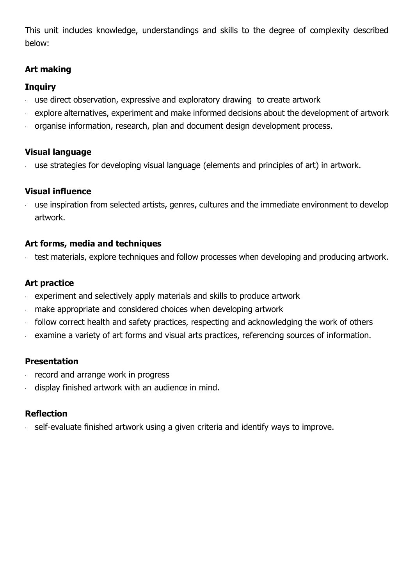This unit includes knowledge, understandings and skills to the degree of complexity described below:

# **Art making**

# **Inquiry**

- use direct observation, expressive and exploratory drawing to create artwork
- explore alternatives, experiment and make informed decisions about the development of artwork
- · organise information, research, plan and document design development process.

# **Visual language**

use strategies for developing visual language (elements and principles of art) in artwork.

# **Visual influence**

use inspiration from selected artists, genres, cultures and the immediate environment to develop artwork.

### **Art forms, media and techniques**

test materials, explore techniques and follow processes when developing and producing artwork.

# **Art practice**

- · experiment and selectively apply materials and skills to produce artwork
- make appropriate and considered choices when developing artwork
- · follow correct health and safety practices, respecting and acknowledging the work of others
- examine a variety of art forms and visual arts practices, referencing sources of information.

# **Presentation**

- · record and arrange work in progress
- display finished artwork with an audience in mind.

# **Reflection**

self-evaluate finished artwork using a given criteria and identify ways to improve.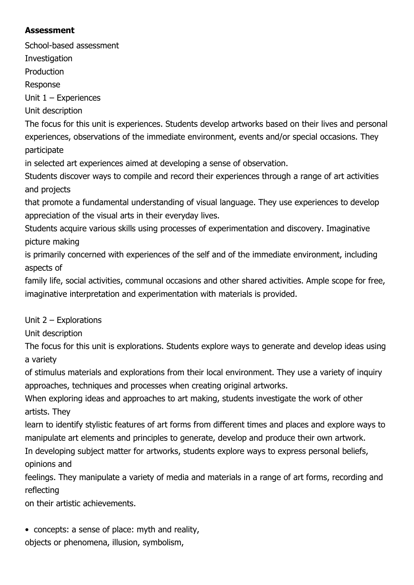# **Assessment**

School-based assessment

**Investigation** 

Production

Response

Unit 1 – Experiences

Unit description

The focus for this unit is experiences. Students develop artworks based on their lives and personal experiences, observations of the immediate environment, events and/or special occasions. They participate

in selected art experiences aimed at developing a sense of observation.

Students discover ways to compile and record their experiences through a range of art activities and projects

that promote a fundamental understanding of visual language. They use experiences to develop appreciation of the visual arts in their everyday lives.

Students acquire various skills using processes of experimentation and discovery. Imaginative picture making

is primarily concerned with experiences of the self and of the immediate environment, including aspects of

family life, social activities, communal occasions and other shared activities. Ample scope for free, imaginative interpretation and experimentation with materials is provided.

Unit 2 – Explorations

Unit description

The focus for this unit is explorations. Students explore ways to generate and develop ideas using a variety

of stimulus materials and explorations from their local environment. They use a variety of inquiry approaches, techniques and processes when creating original artworks.

When exploring ideas and approaches to art making, students investigate the work of other artists. They

learn to identify stylistic features of art forms from different times and places and explore ways to manipulate art elements and principles to generate, develop and produce their own artwork.

In developing subject matter for artworks, students explore ways to express personal beliefs, opinions and

feelings. They manipulate a variety of media and materials in a range of art forms, recording and reflecting

on their artistic achievements.

• concepts: a sense of place: myth and reality, objects or phenomena, illusion, symbolism,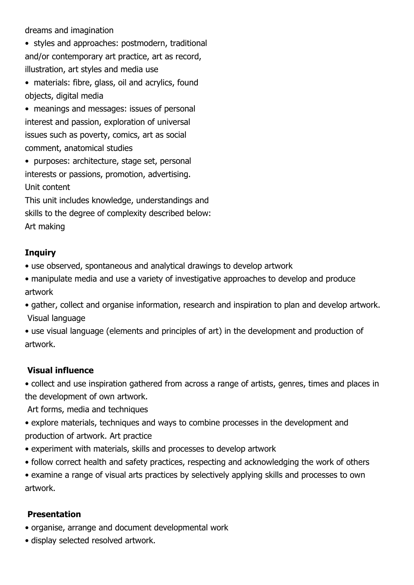dreams and imagination

• styles and approaches: postmodern, traditional and/or contemporary art practice, art as record, illustration, art styles and media use

• materials: fibre, glass, oil and acrylics, found objects, digital media

• meanings and messages: issues of personal interest and passion, exploration of universal issues such as poverty, comics, art as social comment, anatomical studies

• purposes: architecture, stage set, personal interests or passions, promotion, advertising. Unit content

This unit includes knowledge, understandings and skills to the degree of complexity described below: Art making

# **Inquiry**

• use observed, spontaneous and analytical drawings to develop artwork

• manipulate media and use a variety of investigative approaches to develop and produce artwork

• gather, collect and organise information, research and inspiration to plan and develop artwork. Visual language

• use visual language (elements and principles of art) in the development and production of artwork.

### **Visual influence**

• collect and use inspiration gathered from across a range of artists, genres, times and places in the development of own artwork.

Art forms, media and techniques

• explore materials, techniques and ways to combine processes in the development and production of artwork. Art practice

• experiment with materials, skills and processes to develop artwork

• follow correct health and safety practices, respecting and acknowledging the work of others

• examine a range of visual arts practices by selectively applying skills and processes to own artwork.

### **Presentation**

• organise, arrange and document developmental work

• display selected resolved artwork.